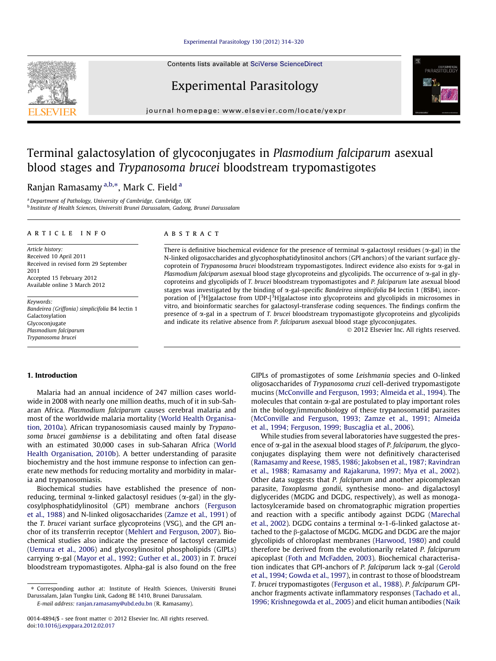## [Experimental Parasitology 130 \(2012\) 314–320](http://dx.doi.org/10.1016/j.exppara.2012.02.017)

Contents lists available at [SciVerse ScienceDirect](http://www.sciencedirect.com/science/journal/00144894)

# Experimental Parasitology

journal homepage: [www.elsevier.com/locate/yexpr](http://www.elsevier.com/locate/yexpr)

# Terminal galactosylation of glycoconjugates in Plasmodium falciparum asexual blood stages and Trypanosoma brucei bloodstream trypomastigotes

## Ranjan Ramasamy <sup>a,b,</sup>\*, Mark C. Field <sup>a</sup>

<sup>a</sup> Department of Pathology, University of Cambridge, Cambridge, UK <sup>b</sup> Institute of Health Sciences, Universiti Brunei Darussalam, Gadong, Brunei Darussalam

#### article info

Article history: Received 10 April 2011 Received in revised form 29 September 2011 Accepted 15 February 2012 Available online 3 March 2012

Keywords: Bandeirea (Griffonia) simplicifolia B4 lectin 1 Galactosylation Glycoconjugate Plasmodium falciparum Trypanosoma brucei

#### ABSTRACT

There is definitive biochemical evidence for the presence of terminal  $\alpha$ -galactosyl residues ( $\alpha$ -gal) in the N-linked oligosaccharides and glycophosphatidylinositol anchors (GPI anchors) of the variant surface glycoprotein of Trypanosoma brucei bloodstream trypomastigotes. Indirect evidence also exists for  $\alpha$ -gal in Plasmodium falciparum asexual blood stage glycoproteins and glycolipids. The occurrence of  $\alpha$ -gal in glycoproteins and glycolipids of T. brucei bloodstream trypomastigotes and P. falciparum late asexual blood stages was investigated by the binding of  $\alpha$ -gal-specific Bandeirea simplicifolia B4 lectin 1 (BSB4), incorporation of [<sup>3</sup>H]galactose from UDP-[<sup>3</sup>H]galactose into glycoproteins and glycolipids in microsomes in vitro, and bioinformatic searches for galactosyl-transferase coding sequences. The findings confirm the presence of a-gal in a spectrum of T. brucei bloodstream trypomastigote glycoproteins and glycolipids and indicate its relative absence from P. falciparum asexual blood stage glycoconjugates.

- 2012 Elsevier Inc. All rights reserved.

## 1. Introduction

Malaria had an annual incidence of 247 million cases worldwide in 2008 with nearly one million deaths, much of it in sub-Saharan Africa. Plasmodium falciparum causes cerebral malaria and most of the worldwide malaria mortality ([World Health Organisa](#page-6-0)[tion, 2010a](#page-6-0)). African trypanosomiasis caused mainly by Trypanosoma brucei gambiense is a debilitating and often fatal disease with an estimated 30,000 cases in sub-Saharan Africa [\(World](#page-6-0) [Health Organisation, 2010b](#page-6-0)). A better understanding of parasite biochemistry and the host immune response to infection can generate new methods for reducing mortality and morbidity in malaria and trypanosomiasis.

Biochemical studies have established the presence of nonreducing, terminal  $\alpha$ -linked galactosyl residues ( $\alpha$ -gal) in the glycosylphosphatidylinositol (GPI) membrane anchors [\(Ferguson](#page-5-0) [et al., 1988](#page-5-0)) and N-linked oligosaccharides ([Zamze et al., 1991\)](#page-6-0) of the T. brucei variant surface glycoproteins (VSG), and the GPI anchor of its transferrin receptor ([Mehlert and Ferguson, 2007\)](#page-6-0). Biochemical studies also indicate the presence of lactosyl ceramide ([Uemura et al., 2006\)](#page-6-0) and glycosylinositol phospholipids (GIPLs) carrying a-gal ([Mayor et al., 1992; Guther et al., 2003](#page-6-0)) in T. brucei bloodstream trypomastigotes. Alpha-gal is also found on the free

GIPLs of promastigotes of some Leishmania species and O-linked oligosaccharides of Trypanosoma cruzi cell-derived trypomastigote mucins [\(McConville and Ferguson, 1993; Almeida et al., 1994\)](#page-6-0). The molecules that contain  $\alpha$ -gal are postulated to play important roles in the biology/immunobiology of these trypanosomatid parasites ([McConville and Ferguson, 1993; Zamze et al., 1991; Almeida](#page-6-0) [et al., 1994; Ferguson, 1999; Buscaglia et al., 2006\)](#page-6-0).

While studies from several laboratories have suggested the presence of  $\alpha$ -gal in the asexual blood stages of *P. falciparum*, the glycoconjugates displaying them were not definitively characterised ([Ramasamy and Reese, 1985, 1986; Jakobsen et al., 1987; Ravindran](#page-6-0) [et al., 1988; Ramasamy and Rajakaruna, 1997; Mya et al., 2002\)](#page-6-0). Other data suggests that P. falciparum and another apicomplexan parasite, Toxoplasma gondii, synthesise mono- and digalactosyl diglycerides (MGDG and DGDG, respectively), as well as monogalactosylceramide based on chromatographic migration properties and reaction with a specific antibody against DGDG ([Marechal](#page-6-0) [et al., 2002\)](#page-6-0). DGDG contains a terminal  $\alpha$ -1-6-linked galactose attached to the β-galactose of MGDG. MGDG and DGDG are the major glycolipids of chloroplast membranes ([Harwood, 1980](#page-6-0)) and could therefore be derived from the evolutionarily related P. falciparum apicoplast [\(Foth and McFadden, 2003\)](#page-5-0). Biochemical characterisation indicates that GPI-anchors of P. falciparum lack  $\alpha$ -gal [\(Gerold](#page-5-0) [et al., 1994; Gowda et al., 1997\)](#page-5-0), in contrast to those of bloodstream T. brucei trypomastigotes [\(Ferguson et al., 1988\)](#page-5-0). P. falciparum GPIanchor fragments activate inflammatory responses ([Tachado et al.,](#page-6-0) [1996; Krishnegowda et al., 2005\)](#page-6-0) and elicit human antibodies [\(Naik](#page-6-0)





<sup>⇑</sup> Corresponding author at: Institute of Health Sciences, Universiti Brunei Darussalam, Jalan Tungku Link, Gadong BE 1410, Brunei Darussalam. E-mail address: [ranjan.ramasamy@ubd.edu.bn](mailto:ranjan.ramasamy@ubd.edu.bn) (R. Ramasamy).

<sup>0014-4894/\$ -</sup> see front matter © 2012 Elsevier Inc. All rights reserved. doi:[10.1016/j.exppara.2012.02.017](http://dx.doi.org/10.1016/j.exppara.2012.02.017)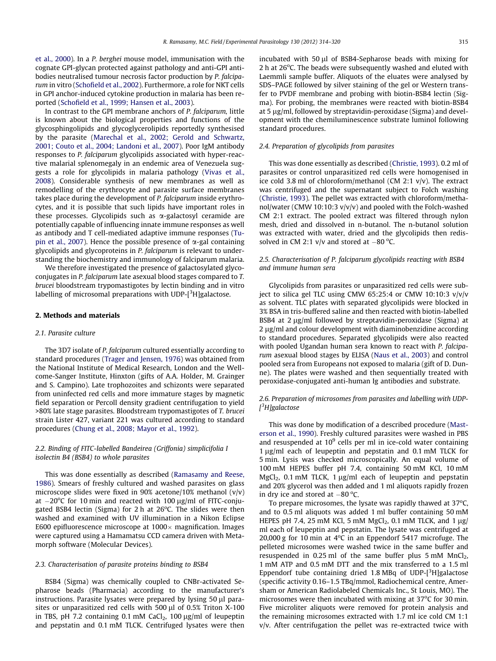[et al., 2000\)](#page-6-0). In a P. berghei mouse model, immunisation with the cognate GPI-glycan protected against pathology and anti-GPI antibodies neutralised tumour necrosis factor production by P. falciparum in vitro ([Schofield et al., 2002\)](#page-6-0). Furthermore, a role for NKT cells in GPI anchor-induced cytokine production in malaria has been reported ([Schofield et al., 1999; Hansen et al., 2003\)](#page-6-0).

In contrast to the GPI membrane anchors of P. falciparum, little is known about the biological properties and functions of the glycosphingolipids and glycoglycerolipids reportedly synthesised by the parasite [\(Marechal et al., 2002; Gerold and Schwartz,](#page-6-0) [2001; Couto et al., 2004; Landoni et al., 2007](#page-6-0)). Poor IgM antibody responses to P. falciparum glycolipids associated with hyper-reactive malarial splenomegaly in an endemic area of Venezuela suggests a role for glycolipids in malaria pathology [\(Vivas et al.,](#page-6-0) [2008](#page-6-0)). Considerable synthesis of new membranes as well as remodelling of the erythrocyte and parasite surface membranes takes place during the development of P. falciparum inside erythrocytes, and it is possible that such lipids have important roles in these processes. Glycolipids such as  $\alpha$ -galactosyl ceramide are potentially capable of influencing innate immune responses as well as antibody and T cell-mediated adaptive immune responses ([Tu](#page-6-0)[pin et al., 2007\)](#page-6-0). Hence the possible presence of  $\alpha$ -gal containing glycolipids and glycoproteins in P. falciparum is relevant to understanding the biochemistry and immunology of falciparum malaria.

We therefore investigated the presence of galactosylated glycoconjugates in P. falciparum late asexual blood stages compared to T. brucei bloodstream trypomastigotes by lectin binding and in vitro labelling of microsomal preparations with UDP- $[^3H]$ galactose.

#### 2. Methods and materials

#### 2.1. Parasite culture

The 3D7 isolate of P. falciparum cultured essentially according to standard procedures ([Trager and Jensen, 1976\)](#page-6-0) was obtained from the National Institute of Medical Research, London and the Wellcome-Sanger Institute, Hinxton (gifts of A.A. Holder, M. Grainger and S. Campino). Late trophozoites and schizonts were separated from uninfected red cells and more immature stages by magnetic field separation or Percoll density gradient centrifugation to yield >80% late stage parasites. Bloodstream trypomastigotes of T. brucei strain Lister 427, variant 221 was cultured according to standard procedures [\(Chung et al., 2008; Mayor et al., 1992\)](#page-5-0).

## 2.2. Binding of FITC-labelled Bandeirea (Griffonia) simplicifolia I isolectin B4 (BSB4) to whole parasites

This was done essentially as described ([Ramasamy and Reese,](#page-6-0) [1986\)](#page-6-0). Smears of freshly cultured and washed parasites on glass microscope slides were fixed in 90% acetone/10% methanol  $(v/v)$ at  $-20^{\circ}$ C for 10 min and reacted with 100  $\mu$ g/ml of FITC-conjugated BSB4 lectin (Sigma) for 2 h at 26<sup>o</sup>C. The slides were then washed and examined with UV illumination in a Nikon Eclipse E600 epifluorescence microscope at  $1000 \times$  magnification. Images were captured using a Hamamatsu CCD camera driven with Metamorph software (Molecular Devices).

## 2.3. Characterisation of parasite proteins binding to BSB4

BSB4 (Sigma) was chemically coupled to CNBr-activated Sepharose beads (Pharmacia) according to the manufacturer's instructions. Parasite lysates were prepared by lysing 50 µl parasites or unparasitized red cells with 500  $\mu$ l of 0.5% Triton X-100 in TBS, pH 7.2 containing 0.1 mM CaCl<sub>2</sub>, 100  $\mu$ g/ml of leupeptin and pepstatin and 0.1 mM TLCK. Centrifuged lysates were then incubated with 50 ul of BSB4-Sepharose beads with mixing for 2 h at 26°C. The beads were subsequently washed and eluted with Laemmli sample buffer. Aliquots of the eluates were analysed by SDS–PAGE followed by silver staining of the gel or Western transfer to PVDF membrane and probing with biotin-BSB4 lectin (Sigma). For probing, the membranes were reacted with biotin-BSB4 at 5 µg/ml, followed by streptavidin-peroxidase (Sigma) and development with the chemiluminescence substrate luminol following standard procedures.

## 2.4. Preparation of glycolipids from parasites

This was done essentially as described [\(Christie, 1993](#page-5-0)). 0.2 ml of parasites or control unparasitized red cells were homogenised in ice cold 3.8 ml of chloroform/methanol (CM 2:1 v/v). The extract was centrifuged and the supernatant subject to Folch washing ([Christie, 1993](#page-5-0)). The pellet was extracted with chloroform/methanol/water (CMW 10:10:3 v/v/v) and pooled with the Folch-washed CM 2:1 extract. The pooled extract was filtered through nylon mesh, dried and dissolved in n-butanol. The n-butanol solution was extracted with water, dried and the glycolipids then redissolved in CM 2:1  $v/v$  and stored at  $-80$  °C.

## 2.5. Characterisation of P. falciparum glycolipids reacting with BSB4 and immune human sera

Glycolipids from parasites or unparasitized red cells were subject to silica gel TLC using CMW 65:25:4 or CMW 10:10:3 v/v/v as solvent. TLC plates with separated glycolipids were blocked in 3% BSA in tris-buffered saline and then reacted with biotin-labelled BSB4 at  $2 \mu g/ml$  followed by streptavidin-peroxidase (Sigma) at 2 µg/ml and colour development with diaminobenzidine according to standard procedures. Separated glycolipids were also reacted with pooled Ugandan human sera known to react with P. falciparum asexual blood stages by ELISA [\(Naus et al., 2003](#page-6-0)) and control pooled sera from Europeans not exposed to malaria (gift of D. Dunne). The plates were washed and then sequentially treated with peroxidase-conjugated anti-human Ig antibodies and substrate.

## 2.6. Preparation of microsomes from parasites and labelling with UDP- [<sup>3</sup>H]galactose

This was done by modification of a described procedure ([Mast](#page-6-0)[erson et al., 1990](#page-6-0)). Freshly cultured parasites were washed in PBS and resuspended at  $10<sup>9</sup>$  cells per ml in ice-cold water containing  $1 \mu$ g/ml each of leupeptin and pepstatin and 0.1 mM TLCK for 5 min. Lysis was checked microscopically. An equal volume of 100 mM HEPES buffer pH 7.4, containing 50 mM KCl, 10 mM MgCl<sub>2</sub>, 0.1 mM TLCK, 1  $\mu$ g/ml each of leupeptin and pepstatin and 20% glycerol was then added and 1 ml aliquots rapidly frozen in dry ice and stored at  $-80^{\circ}$ C.

To prepare microsomes, the lysate was rapidly thawed at  $37^{\circ}$ C, and to 0.5 ml aliquots was added 1 ml buffer containing 50 mM HEPES pH 7.4, 25 mM KCl, 5 mM  $MgCl<sub>2</sub>$ , 0.1 mM TLCK, and 1  $\mu$ g/ ml each of leupeptin and pepstatin. The lysate was centrifuged at 20,000 g for 10 min at  $4^{\circ}$ C in an Eppendorf 5417 microfuge. The pelleted microsomes were washed twice in the same buffer and resuspended in  $0.25$  ml of the same buffer plus  $5$  mM MnCl<sub>2</sub>, 1 mM ATP and 0.5 mM DTT and the mix transferred to a 1.5 ml Eppendorf tube containing dried  $1.8$  MBq of UDP-[ $3$ H]galactose (specific activity 0.16–1.5 TBq/mmol, Radiochemical centre, Amersham or American Radiolabeled Chemicals Inc., St Louis, MO). The microsomes were then incubated with mixing at  $37^{\circ}$ C for 30 min. Five microliter aliquots were removed for protein analysis and the remaining microsomes extracted with 1.7 ml ice cold CM 1:1  $v/v$ . After centrifugation the pellet was re-extracted twice with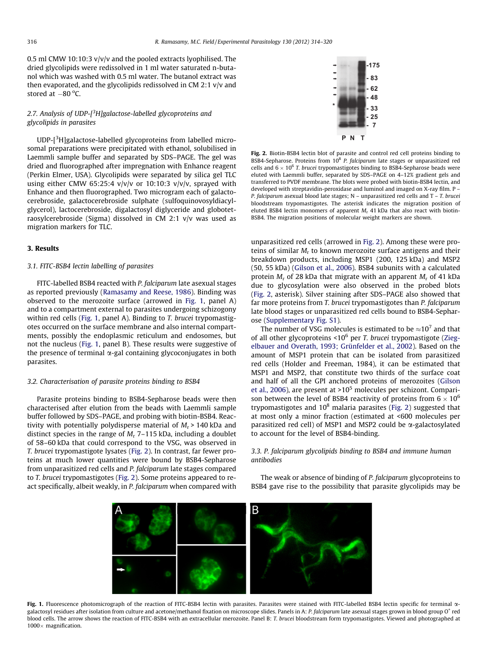<span id="page-2-0"></span>0.5 ml CMW 10:10:3 v/v/v and the pooled extracts lyophilised. The dried glycolipids were redissolved in 1 ml water saturated n-butanol which was washed with 0.5 ml water. The butanol extract was then evaporated, and the glycolipids redissolved in CM 2:1 v/v and stored at  $-80^{\circ}$ C.

## 2.7. Analysis of UDP-[<sup>3</sup>H]galactose-labelled glycoproteins and glycolipids in parasites

UDP-[<sup>3</sup>H]galactose-labelled glycoproteins from labelled microsomal preparations were precipitated with ethanol, solubilised in Laemmli sample buffer and separated by SDS–PAGE. The gel was dried and fluorographed after impregnation with Enhance reagent (Perkin Elmer, USA). Glycolipids were separated by silica gel TLC using either CMW 65:25:4  $v/v/v$  or 10:10:3  $v/v/v$ , sprayed with Enhance and then fluorographed. Two microgram each of galactocerebroside, galactocerebroside sulphate (sulfoquinovosyldiacylglycerol), lactocerebroside, digalactosyl diglyceride and globotetraosylcerebroside (Sigma) dissolved in CM 2:1 v/v was used as migration markers for TLC.

## 3. Results

## 3.1. FITC-BSB4 lectin labelling of parasites

FITC-labelled BSB4 reacted with P. falciparum late asexual stages as reported previously ([Ramasamy and Reese, 1986](#page-6-0)). Binding was observed to the merozoite surface (arrowed in Fig. 1, panel A) and to a compartment external to parasites undergoing schizogony within red cells (Fig. 1, panel A). Binding to T. brucei trypomastigotes occurred on the surface membrane and also internal compartments, possibly the endoplasmic reticulum and endosomes, but not the nucleus (Fig. 1, panel B). These results were suggestive of the presence of terminal  $\alpha$ -gal containing glycoconjugates in both parasites.

#### 3.2. Characterisation of parasite proteins binding to BSB4

Parasite proteins binding to BSB4-Sepharose beads were then characterised after elution from the beads with Laemmli sample buffer followed by SDS–PAGE, and probing with biotin-BSB4. Reactivity with potentially polydisperse material of  $M_r$  > 140 kDa and distinct species in the range of  $M_r$  7–115 kDa, including a doublet of 58–60 kDa that could correspond to the VSG, was observed in T. brucei trypomastigote lysates (Fig. 2). In contrast, far fewer proteins at much lower quantities were bound by BSB4-Sepharose from unparasitized red cells and P. falciparum late stages compared to T. brucei trypomastigotes (Fig. 2). Some proteins appeared to react specifically, albeit weakly, in P. falciparum when compared with



Fig. 2. Biotin-BSB4 lectin blot of parasite and control red cell proteins binding to BSB4-Sepharose. Proteins from  $10^8$  P. falciparum late stages or unparasitized red cells and  $6 \times 10^6$  T. brucei trypomastigotes binding to BSB4-Sepharose beads were eluted with Laemmli buffer, separated by SDS–PAGE on 4–12% gradient gels and transferred to PVDF membrane. The blots were probed with biotin-BSB4 lectin, and developed with streptavidin-peroxidase and luminol and imaged on X-ray film. P – P. falciparum asexual blood late stages; N - unparasitized red cells and T - T. brucei bloodstream trypomastigotes. The asterisk indicates the migration position of eluted BSB4 lectin monomers of apparent  $M_r$  41 kDa that also react with biotin-BSB4. The migration positions of molecular weight markers are shown.

unparasitized red cells (arrowed in Fig. 2). Among these were proteins of similar  $M_r$  to known merozoite surface antigens and their breakdown products, including MSP1 (200, 125 kDa) and MSP2 (50, 55 kDa) ([Gilson et al., 2006\)](#page-6-0). BSB4 subunits with a calculated protein  $M_r$  of 28 kDa that migrate with an apparent  $M_r$  of 41 kDa due to glycosylation were also observed in the probed blots (Fig. 2, asterisk). Silver staining after SDS–PAGE also showed that far more proteins from T. brucei trypomastigotes than P. falciparum late blood stages or unparasitized red cells bound to BSB4-Sepharose (Supplementary Fig. S1).

The number of VSG molecules is estimated to be  $\approx 10^7$  and that of all other glycoproteins <10 $^6$  per T. brucei trypomastigote ([Zieg](#page-6-0)[elbauer and Overath, 1993; Grünfelder et al., 2002\)](#page-6-0). Based on the amount of MSP1 protein that can be isolated from parasitized red cells (Holder and Freeman, 1984), it can be estimated that MSP1 and MSP2, that constitute two thirds of the surface coat and half of all the GPI anchored proteins of merozoites ([Gilson](#page-6-0) [et al., 2006](#page-6-0)), are present at  $>10^5$  molecules per schizont. Comparison between the level of BSB4 reactivity of proteins from  $6 \times 10^6$ trypomastigotes and  $10^8$  malaria parasites (Fig. 2) suggested that at most only a minor fraction (estimated at <600 molecules per parasitized red cell) of MSP1 and MSP2 could be  $\alpha$ -galactosylated to account for the level of BSB4-binding.

## 3.3. P. falciparum glycolipids binding to BSB4 and immune human antibodies

The weak or absence of binding of P. falciparum glycoproteins to BSB4 gave rise to the possibility that parasite glycolipids may be



Fig. 1. Fluorescence photomicrograph of the reaction of FITC-BSB4 lectin with parasites. Parasites were stained with FITC-labelled BSB4 lectin specific for terminal  $\alpha$ galactosyl residues after isolation from culture and acetone/methanol fixation on microscope slides. Panels in A: P. falciparum late asexual stages grown in blood group O<sup>+</sup> red blood cells. The arrow shows the reaction of FITC-BSB4 with an extracellular merozoite. Panel B: T. brucei bloodstream form trypomastigotes. Viewed and photographed at  $1000 \times$  magnification.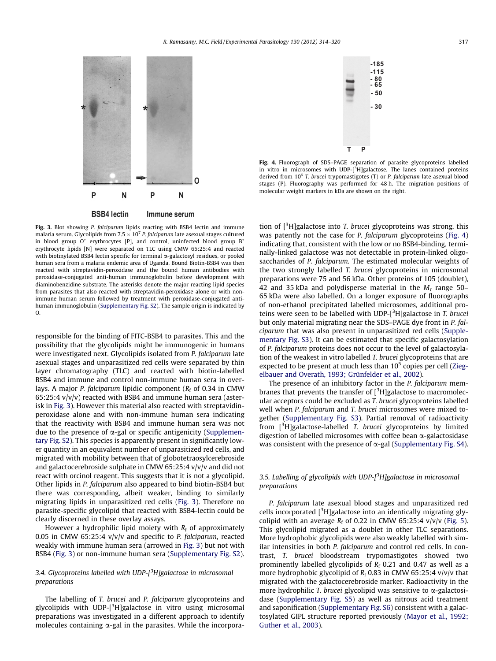

Fig. 3. Blot showing P. falciparum lipids reacting with BSB4 lectin and immune malaria serum. Glycolipids from 7.5  $\times$  10<sup>7</sup> P. falciparum late asexual stages cultured in blood group  $O^+$  erythrocytes [P], and control, uninfected blood group  $B^+$ erythrocyte lipids [N] were separated on TLC using CMW 65:25:4 and reacted with biotinylated BSB4 lectin specific for terminal  $\alpha$ -galactosyl residues, or pooled human sera from a malaria endemic area of Uganda. Bound Biotin-BSB4 was then reacted with streptavidin-peroxidase and the bound human antibodies with peroxidase-conjugated anti-human immunoglobulin before development with diaminobenzidine substrate. The asterisks denote the major reacting lipid species from parasites that also reacted with streptavidin-peroxidase alone or with nonimmune human serum followed by treatment with peroxidase-conjugated antihuman immunoglobulin (Supplementary Fig. S2). The sample origin is indicated by O.

responsible for the binding of FITC-BSB4 to parasites. This and the possibility that the glycolipids might be immunogenic in humans were investigated next. Glycolipids isolated from P. falciparum late asexual stages and unparasitized red cells were separated by thin layer chromatography (TLC) and reacted with biotin-labelled BSB4 and immune and control non-immune human sera in overlays. A major P. falciparum lipidic component ( $R_f$  of 0.34 in CMW 65:25:4 v/v/v) reacted with BSB4 and immune human sera (asterisk in Fig. 3). However this material also reacted with streptavidinperoxidase alone and with non-immune human sera indicating that the reactivity with BSB4 and immune human sera was not due to the presence of  $\alpha$ -gal or specific antigenicity (Supplementary Fig. S2). This species is apparently present in significantly lower quantity in an equivalent number of unparasitized red cells, and migrated with mobility between that of globotetraosylcerebroside and galactocerebroside sulphate in CMW 65:25:4 v/v/v and did not react with orcinol reagent. This suggests that it is not a glycolipid. Other lipids in P. falciparum also appeared to bind biotin-BSB4 but there was corresponding, albeit weaker, binding to similarly migrating lipids in unparasitized red cells (Fig. 3). Therefore no parasite-specific glycolipid that reacted with BSB4-lectin could be clearly discerned in these overlay assays.

However a hydrophilic lipid moiety with  $R_f$  of approximately 0.05 in CMW 65:25:4  $v/v/v$  and specific to P. falciparum, reacted weakly with immune human sera (arrowed in Fig. 3) but not with BSB4 (Fig. 3) or non-immune human sera (Supplementary Fig. S2).

## 3.4. Glycoproteins labelled with UDP-[<sup>3</sup>H]galactose in microsomal preparations

The labelling of T. brucei and P. falciparum glycoproteins and glycolipids with UDP-[<sup>3</sup>H]galactose in vitro using microsomal preparations was investigated in a different approach to identify molecules containing  $\alpha$ -gal in the parasites. While the incorpora-



Fig. 4. Fluorograph of SDS-PAGE separation of parasite glycoproteins labelled in vitro in microsomes with UDP-[<sup>3</sup>H]galactose. The lanes contained proteins derived from  $10^6$  T. brucei trypomastigotes (T) or P. falciparum late asexual blood stages (P). Fluorography was performed for 48 h. The migration positions of molecular weight markers in kDa are shown on the right.

tion of  $[3H]$ galactose into T. brucei glycoproteins was strong, this was patently not the case for *P. falciparum* glycoproteins (Fig. 4) indicating that, consistent with the low or no BSB4-binding, terminally-linked galactose was not detectable in protein-linked oligosaccharides of P. falciparum. The estimated molecular weights of the two strongly labelled T. brucei glycoproteins in microsomal preparations were 75 and 56 kDa. Other proteins of 105 (doublet), 42 and 35 kDa and polydisperse material in the  $M_r$  range 50– 65 kDa were also labelled. On a longer exposure of fluorographs of non-ethanol precipitated labelled microsomes, additional proteins were seen to be labelled with UDP- $[3H]$ galactose in T. brucei but only material migrating near the SDS–PAGE dye front in P. falciparum that was also present in unparasitized red cells (Supplementary Fig. S3). It can be estimated that specific galactosylation of P. falciparum proteins does not occur to the level of galactosylation of the weakest in vitro labelled T. brucei glycoproteins that are expected to be present at much less than  $10^5$  copies per cell ([Zieg](#page-6-0)[elbauer and Overath, 1993; Grünfelder et al., 2002\)](#page-6-0).

The presence of an inhibitory factor in the P. falciparum membranes that prevents the transfer of  $[{}^{3}H]$ galactose to macromolecular acceptors could be excluded as T. brucei glycoproteins labelled well when P. falciparum and T. brucei microsomes were mixed together (Supplementary Fig. S3). Partial removal of radioactivity from [<sup>3</sup>H]galactose-labelled T. brucei glycoproteins by limited digestion of labelled microsomes with coffee bean a-galactosidase was consistent with the presence of  $\alpha$ -gal (Supplementary Fig. S4).

## 3.5. Labelling of glycolipids with UDP-[<sup>3</sup>H]galactose in microsomal preparations

P. falciparum late asexual blood stages and unparasitized red cells incorporated  $[3H]$ galactose into an identically migrating glycolipid with an average  $R_f$  of 0.22 in CMW 65:25:4 v/v/v ([Fig. 5\)](#page-4-0). This glycolipid migrated as a doublet in other TLC separations. More hydrophobic glycolipids were also weakly labelled with similar intensities in both P. falciparum and control red cells. In contrast, T. brucei bloodstream trypomastigotes showed two prominently labelled glycolipids of  $R_f$  0.21 and 0.47 as well as a more hydrophobic glycolipid of  $R_f$  0.83 in CMW 65:25:4 v/v/v that migrated with the galactocerebroside marker. Radioactivity in the more hydrophilic T. brucei glycolipid was sensitive to  $\alpha$ -galactosidase (Supplementary Fig. S5) as well as nitrous acid treatment and saponification (Supplementary Fig. S6) consistent with a galactosylated GIPL structure reported previously ([Mayor et al., 1992;](#page-6-0) [Guther et al., 2003\)](#page-6-0).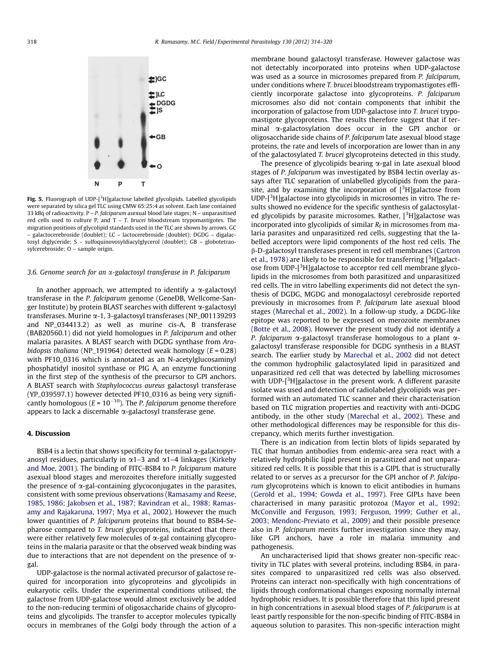<span id="page-4-0"></span>

Fig. 5. Fluorograph of UDP-[ $^3$ H]galactose labelled glycolipids. Labelled glycolipids were separated by silica gel TLC using CMW 65:25:4 as solvent. Each lane contained 33 kBq of radioactivity.  $P - P$ . falciparum asexual blood late stages; N - unparasitised red cells used to culture P, and T – T. brucei bloodstream trypomastigotes. The migration positions of glycolipid standards used in the TLC are shown by arrows. GC – galactocerebroside (doublet); LC – lactocerebroside (doublet); DGDG – digalactosyl diglyceride; S – sulfoquinovosyldiacylglycerol (doublet); GB – globotetraosylcerebroside; O – sample origin.

#### 3.6. Genome search for an  $\alpha$ -galactosyl transferase in P. falciparum

In another approach, we attempted to identify a  $\alpha$ -galactosyl transferase in the P. falciparum genome (GeneDB, Wellcome-Sanger Institute) by protein BLAST searches with different  $\alpha$ -galactosyl transferases. Murine a-1, 3-galactosyl transferases (NP\_001139293 and NP\_034413.2) as well as murine cis-A, B transferase (BAB20560.1) did not yield homologues in P. falciparum and other malaria parasites. A BLAST search with DGDG synthase from Arabidopsis thaliana (NP\_191964) detected weak homology ( $E = 0.28$ ) with PF10\_0316 which is annotated as an N-acetylglucosaminyl phosphatidyl inositol synthase or PIG A, an enzyme functioning in the first step of the synthesis of the precursor to GPI anchors. A BLAST search with Staphylococcus aureus galactosyl transferase (YP\_039597.1) however detected PF10\_0316 as being very significantly homologous ( $E = 10^{-10}$ ). The P. falciparum genome therefore appears to lack a discernable  $\alpha$ -galactosyl transferase gene.

#### 4. Discussion

BSB4 is a lectin that shows specificity for terminal  $\alpha$ -galactopyranosyl residues, particularly in  $\alpha$ 1–3 and  $\alpha$ 1–4 linkages ([Kirkeby](#page-6-0) [and Moe, 2001](#page-6-0)). The binding of FITC-BSB4 to P. falciparum mature asexual blood stages and merozoites therefore initially suggested the presence of  $\alpha$ -gal-containing glycoconjugates in the parasites, consistent with some previous observations ([Ramasamy and Reese,](#page-6-0) [1985, 1986; Jakobsen et al., 1987; Ravindran et al., 1988; Ramas](#page-6-0)[amy and Rajakaruna, 1997; Mya et al., 2002\)](#page-6-0). However the much lower quantities of P. falciparum proteins that bound to BSB4-Sepharose compared to T. brucei glycoproteins, indicated that there were either relatively few molecules of  $\alpha$ -gal containing glycoproteins in the malaria parasite or that the observed weak binding was due to interactions that are not dependent on the presence of  $\alpha$ gal.

UDP-galactose is the normal activated precursor of galactose required for incorporation into glycoproteins and glycolipids in eukaryotic cells. Under the experimental conditions utilised, the galactose from UDP-galactose would almost exclusively be added to the non-reducing termini of oligosaccharide chains of glycoproteins and glycolipids. The transfer to acceptor molecules typically occurs in membranes of the Golgi body through the action of a membrane bound galactosyl transferase. However galactose was not detectably incorporated into proteins when UDP-galactose was used as a source in microsomes prepared from P. falciparum, under conditions where T. brucei bloodstream trypomastigotes efficiently incorporate galactose into glycoproteins. P. falciparum microsomes also did not contain components that inhibit the incorporation of galactose from UDP-galactose into T. brucei trypomastigote glycoproteins. The results therefore suggest that if terminal a-galactosylation does occur in the GPI anchor or oligosaccharide side chains of P. falciparum late asexual blood stage proteins, the rate and levels of incorporation are lower than in any of the galactosylated T. brucei glycoproteins detected in this study.

The presence of glycolipids bearing  $\alpha$ -gal in late asexual blood stages of P. falciparum was investigated by BSB4 lectin overlay assays after TLC separation of unlabelled glycolipids from the parasite, and by examining the incorporation of  $[3H]$ galactose from UDP-[<sup>3</sup>H]galactose into glycolipids in microsomes in vitro. The results showed no evidence for the specific synthesis of galactosylated glycolipids by parasite microsomes. Rather,  $[3H]$ galactose was incorporated into glycolipids of similar  $R_f$  in microsomes from malaria parasites and unparasitized red cells, suggesting that the labelled acceptors were lipid components of the host red cells. The b-D-galactosyl transferases present in red cell membranes [\(Cartron](#page-5-0) [et al., 1978](#page-5-0)) are likely to be responsible for transferring  $[3H]$ galactose from UDP-[<sup>3</sup>H]galactose to acceptor red cell membrane glycolipids in the microsomes from both parasitized and unparasitized red cells. The in vitro labelling experiments did not detect the synthesis of DGDG, MGDG and monogalactosyl cerebroside reported previously in microsomes from P. falciparum late asexual blood stages [\(Marechal et al., 2002\)](#page-6-0). In a follow-up study, a DGDG-like epitope was reported to be expressed on merozoite membranes ([Botte et al., 2008](#page-5-0)). However the present study did not identify a P. falciparum  $\alpha$ -galactosyl transferase homologous to a plant  $\alpha$ galactosyl transferase responsible for DGDG synthesis in a BLAST search. The earlier study by [Marechal et al., 2002](#page-6-0) did not detect the common hydrophilic galactosylated lipid in parasitized and unparasitized red cell that was detected by labelling microsomes with UDP-[<sup>3</sup>H]galactose in the present work. A different parasite isolate was used and detection of radiolabeled glycolipids was performed with an automated TLC scanner and their characterisation based on TLC migration properties and reactivity with anti-DGDG antibody, in the other study ([Marechal et al., 2002](#page-6-0)). These and other methodological differences may be responsible for this discrepancy, which merits further investigation.

There is an indication from lectin blots of lipids separated by TLC that human antibodies from endemic-area sera react with a relatively hydrophilic lipid present in parasitized and not unparasitized red cells. It is possible that this is a GIPL that is structurally related to or serves as a precursor for the GPI anchor of P. falciparum glycoproteins which is known to elicit antibodies in humans ([Gerold et al., 1994; Gowda et al., 1997\)](#page-5-0). Free GIPLs have been characterised in many parasitic protozoa ([Mayor et al., 1992;](#page-6-0) [McConville and Ferguson, 1993; Ferguson, 1999; Guther et al.,](#page-6-0) [2003; Mendonc-Previato et al., 2009\)](#page-6-0) and their possible presence also in P. falciparum merits further investigation since they may, like GPI anchors, have a role in malaria immunity and pathogenesis.

An uncharacterised lipid that shows greater non-specific reactivity in TLC plates with several proteins, including BSB4, in parasites compared to unparasitized red cells was also observed. Proteins can interact non-specifically with high concentrations of lipids through conformational changes exposing normally internal hydrophobic residues. It is possible therefore that this lipid present in high concentrations in asexual blood stages of P. falciparum is at least partly responsible for the non-specific binding of FITC-BSB4 in aqueous solution to parasites. This non-specific interaction might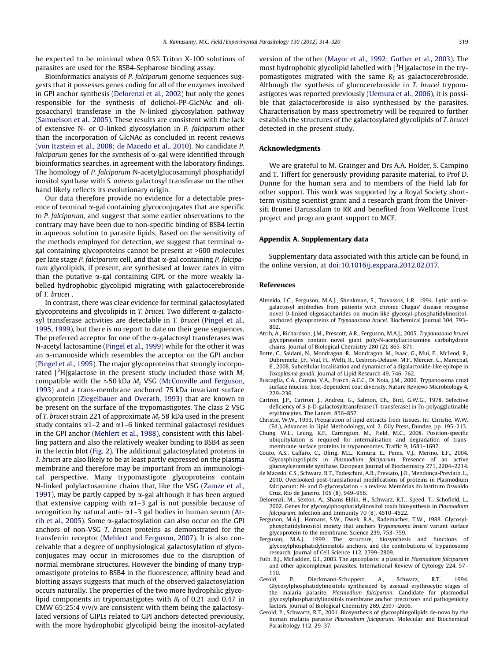<span id="page-5-0"></span>be expected to be minimal when 0.5% Triton X-100 solutions of parasites are used for the BSB4-Sepharose binding assay.

Bioinformatics analysis of P. falciparum genome sequences suggests that it possesses genes coding for all of the enzymes involved in GPI anchor synthesis (Delorenzi et al., 2002) but only the genes responsible for the synthesis of dolichol-PP-GlcNAc and oligosaccharyl transferase in the N-linked glycosylation pathway ([Samuelson et al., 2005](#page-6-0)). These results are consistent with the lack of extensive N- or O-linked glycosylation in P. falciparum other than the incorporation of GlcNAc as concluded in recent reviews ([von Itzstein et al., 2008; de Macedo et al., 2010\)](#page-6-0). No candidate P. falciparum genes for the synthesis of  $\alpha$ -gal were identified through bioinformatics searches, in agreement with the laboratory findings. The homology of P. falciparum N-acetylglucosaminyl phosphatidyl inositol synthase with S. aureus galactosyl transferase on the other hand likely reflects its evolutionary origin.

Our data therefore provide no evidence for a detectable presence of terminal  $\alpha$ -gal containing glycoconjugates that are specific to P. falciparum, and suggest that some earlier observations to the contrary may have been due to non-specific binding of BSB4 lectin in aqueous solution to parasite lipids. Based on the sensitivity of the methods employed for detection, we suggest that terminal  $\alpha$ gal containing glycoproteins cannot be present at >600 molecules per late stage P. falciparum cell, and that  $\alpha$ -gal containing P. falciparum glycolipids, if present, are synthesised at lower rates in vitro than the putative  $\alpha$ -gal containing GIPL or the more weakly labelled hydrophobic glycolipid migrating with galactocerebroside of T. brucei .

In contrast, there was clear evidence for terminal galactosylated glycoproteins and glycolipids in T. brucei. Two different  $\alpha$ -galactosyl transferase activities are detectable in T. brucei ([Pingel et al.,](#page-6-0) [1995, 1999\)](#page-6-0), but there is no report to date on their gene sequences. The preferred acceptor for one of the  $\alpha$ -galactosyl transferases was N-acetyl lactosamine [\(Pingel et al., 1999](#page-6-0)) while for the other it was an  $\alpha$ -mannoside which resembles the acceptor on the GPI anchor ([Pingel et al., 1995\)](#page-6-0). The major glycoproteins that strongly incorporated [<sup>3</sup>H]galactose in the present study included those with  $M_{\rm r}$ compatible with the  $\approx$ 50 kDa M<sub>r</sub> VSG ([McConville and Ferguson,](#page-6-0) [1993\)](#page-6-0) and a trans-membrane anchored 75 kDa invariant surface glycoprotein [\(Ziegelbauer and Overath, 1993\)](#page-6-0) that are known to be present on the surface of the trypomastigotes. The class 2 VSG of T. brucei strain 221 of approximate  $M_r$  58 kDa used in the present study contains  $\alpha$ 1–2 and  $\alpha$ 1–6 linked terminal galactosyl residues in the GPI anchor ([Mehlert et al., 1988\)](#page-6-0), consistent with this labelling pattern and also the relatively weaker binding to BSB4 as seen in the lectin blot [\(Fig. 2\)](#page-2-0). The additional galactosylated proteins in T. brucei are also likely to be at least partly expressed on the plasma membrane and therefore may be important from an immunological perspective. Many trypomastigote glycoproteins contain N-linked polylactosamine chains that, like the VSG ([Zamze et al.,](#page-6-0) [1991\)](#page-6-0), may be partly capped by  $\alpha$ -gal although it has been argued that extensive capping with  $\alpha$ 1–3 gal is not possible because of recognition by natural anti- $\alpha$ 1–3 gal bodies in human serum (Atrih et al., 2005). Some  $\alpha$ -galactosylation can also occur on the GPI anchors of non-VSG T. brucei proteins as demonstrated for the transferrin receptor ([Mehlert and Ferguson, 2007](#page-6-0)). It is also conceivable that a degree of unphysiological galactosylation of glycoconjugates may occur in microsomes due to the disruption of normal membrane structures. However the binding of many trypomastigote proteins to BSB4 in the fluorescence, affinity bead and blotting assays suggests that much of the observed galactosylation occurs naturally. The properties of the two more hydrophilic glycolipid components in trypomastigotes with  $R_f$  of 0.21 and 0.47 in CMW 65:25:4 v/v/v are consistent with them being the galactosylated versions of GIPLs related to GPI anchors detected previously, with the more hydrophobic glycolipid being the inositol-acylated version of the other ([Mayor et al., 1992; Guther et al., 2003\)](#page-6-0). The most hydrophobic glycolipid labelled with [<sup>3</sup>H]galactose in the trypomastigotes migrated with the same  $R_f$  as galactocerebroside. Although the synthesis of glucocerebroside in T. brucei trypomastigotes was reported previously ([Uemura et al., 2006](#page-6-0)), it is possible that galactocerbroside is also synthesised by the parasites. Characterisation by mass spectrometry will be required to further establish the structures of the galactosylated glycolipids of T. brucei detected in the present study.

#### Acknowledgments

We are grateful to M. Grainger and Drs A.A. Holder, S. Campino and T. Tiffert for generously providing parasite material, to Prof D. Dunne for the human sera and to members of the Field lab for other support. This work was supported by a Royal Society shortterm visiting scientist grant and a research grant from the Universiti Brunei Darussalam to RR and benefited from Wellcome Trust project and program grant support to MCF.

#### Appendix A. Supplementary data

Supplementary data associated with this article can be found, in the online version, at [doi:10.1016/j.exppara.2012.02.017](http://dx.doi.org/10.1016/j.exppara.2012.02.017).

#### References

- Almeida, I.C., Ferguson, M.A.J., Shenkman, S., Travassos, L.R., 1994. Lytic anti-agalactosyl antibodies from patients with chronic Chagas' disease recognise novel O-linked oligosaccharides on mucin-like glycosyl-phosphatidylinositolanchored glycoproteins of Trypanosoma brucei. Biochemical Journal 304, 793– 802.
- Atrih, A., Richardson, J.M., Prescott, A.R., Ferguson, M.A.J., 2005. Trypanosoma brucei glycoproteins contain novel giant poly-N-acetyllactosamine carbohydrate chains. Journal of Biological Chemistry 280 (2), 865–871.
- Botte, C., Saidani, N., Mondragon, R., Mondragon, M., Isaac, G., Mui, E., McLeod, R., Dubremetz, J.F., Vial, H., Welti, R., Cesbron-Delauw, M.F., Mercier, C., Marechal, E., 2008. Subcellular localisation and dynamics of a digalactoside-like epitope in Toxoplasma gondii. Journal of Lipid Research 49, 746–762.
- Buscaglia, C.A., Campo, V.A., Frasch, A.C.C., Di Noia, J.M., 2006. Trypanosoma cruzi surface mucins: host-dependent coat diversity. Nature Reviews Microbiology 4, 229–236.
- Cartron, J.P., Cartron, J., Andreu, G., Salmon, Ch., Bird, G.W.G., 1978. Selective deficiency of 3-b-D-galactosyltransferase (T-transferase) in Tn-polyagglutinable erythrocytes. The Lancet, 856–857.
- Christie, W.W., 1993. Preparation of lipid extracts from tissues. In: Christie, W.W. (Ed.), Advances in Lipid Methodology, vol. 2. Oily Press, Dundee, pp. 195–213.
- Chung, W.L., Leung, K.F., Carrington, M., Field, M.C., 2008. Position-specific ubiquitylation is required for internalisation and degradation of transmembrane surface proteins in trypanosomes. Traffic 9, 1681–1697.
- Couto, A.S., Caffaro, C., Uhrig, M.L., Kimura, E., Peres, V.J., Merino, E.F., 2004. Glycosphingolipids in Plasmodium falciparum. Presence of an active glucosylceramide synthase. European Journal of Biochemistry 271, 2204–2214.
- de Macedo, C.S., Schwarz, R.T., Todeschini, A.R., Previato, J.O., Mendonça-Previato, L., 2010. Overlooked post-translational modifications of proteins in Plasmodium falciparum: N- and O-glycosylation – a review. Memórias do Instituto Oswaldo Cruz, Rio de Janeiro. 105 (8), 949–956.
- Delorenzi, M., Sexton, A., Shams-Eldin, H., Schwarz, R.T., Speed, T., Schofield, L., 2002. Genes for glycosylphosphatidylinositol toxin biosynthesis in Plasmodium falciparum. Infection and Immunity 70 (8), 4510–4522.
- Ferguson, M.A.J., Homans, S.W., Dwek, R.A., Rademacher, T.W., 1988. Glycosylphosphatidylinositol moiety that anchors Trypanosoma brucei variant surface glycoprotein to the membrane. Science 239, 753–759.
- Ferguson, M.A.J., 1999. The structure, biosynthesis and functions of glycosylphosphatidylinositols anchors, and the contributions of trypanosome research. Journal of Cell Science 112, 2799–2809.
- Foth, B.J., McFadden, G.I., 2003. The apicoplasts: a plastid in Plasmodium falciparum and other apicomplexan parasites. International Review of Cytology 224, 57– 110.<br>Gerold.
- Dieckmann-Schuppert, A., Schwarz, R.T., 1994 Glycosylphosphatidylinositols synthesized by asexual erythrocytic stages of the malaria parasite, Plasmodium falciparum. Candidate for plasmodial glycosylphosphatidylinositols membrane anchor precursors and pathogenicity factors. Journal of Biological Chemistry 269, 2597–2606.
- Gerold, P., Schwartz, R.T., 2001. Biosynthesis of glycosphingolipids de-novo by the human malaria parasite Plasmodium falciparum. Molecular and Biochemical Parasitology 112, 29–37.